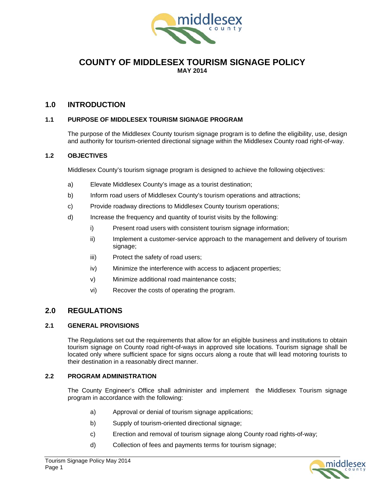

### **COUNTY OF MIDDLESEX TOURISM SIGNAGE POLICY MAY 2014**

### **1.0 INTRODUCTION**

#### **1.1 PURPOSE OF MIDDLESEX TOURISM SIGNAGE PROGRAM**

The purpose of the Middlesex County tourism signage program is to define the eligibility, use, design and authority for tourism-oriented directional signage within the Middlesex County road right-of-way.

#### **1.2 OBJECTIVES**

Middlesex County's tourism signage program is designed to achieve the following objectives:

- a) Elevate Middlesex County's image as a tourist destination;
- b) Inform road users of Middlesex County's tourism operations and attractions;
- c) Provide roadway directions to Middlesex County tourism operations;
- d) Increase the frequency and quantity of tourist visits by the following:
	- i) Present road users with consistent tourism signage information;
	- ii) Implement a customer-service approach to the management and delivery of tourism signage;
	- iii) Protect the safety of road users;
	- iv) Minimize the interference with access to adjacent properties;
	- v) Minimize additional road maintenance costs;
	- vi) Recover the costs of operating the program.

### **2.0 REGULATIONS**

#### **2.1 GENERAL PROVISIONS**

The Regulations set out the requirements that allow for an eligible business and institutions to obtain tourism signage on County road right-of-ways in approved site locations. Tourism signage shall be located only where sufficient space for signs occurs along a route that will lead motoring tourists to their destination in a reasonably direct manner.

#### **2.2 PROGRAM ADMINISTRATION**

The County Engineer's Office shall administer and implement the Middlesex Tourism signage program in accordance with the following:

- a) Approval or denial of tourism signage applications;
- b) Supply of tourism-oriented directional signage;
- c) Erection and removal of tourism signage along County road rights-of-way;
- d) Collection of fees and payments terms for tourism signage;

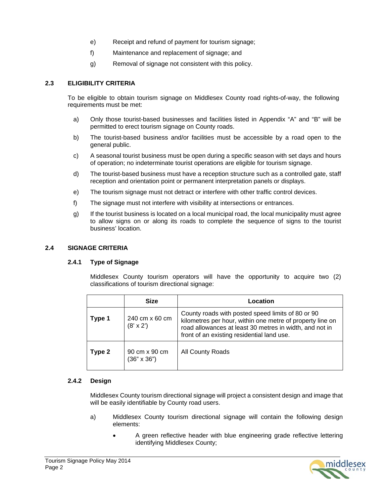- e) Receipt and refund of payment for tourism signage;
- f) Maintenance and replacement of signage; and
- g) Removal of signage not consistent with this policy.

#### **2.3 ELIGIBILITY CRITERIA**

To be eligible to obtain tourism signage on Middlesex County road rights-of-way, the following requirements must be met:

- a) Only those tourist-based businesses and facilities listed in Appendix "A" and "B" will be permitted to erect tourism signage on County roads.
- b) The tourist-based business and/or facilities must be accessible by a road open to the general public.
- c) A seasonal tourist business must be open during a specific season with set days and hours of operation; no indeterminate tourist operations are eligible for tourism signage.
- d) The tourist-based business must have a reception structure such as a controlled gate, staff reception and orientation point or permanent interpretation panels or displays.
- e) The tourism signage must not detract or interfere with other traffic control devices.
- f) The signage must not interfere with visibility at intersections or entrances.
- g) If the tourist business is located on a local municipal road, the local municipality must agree to allow signs on or along its roads to complete the sequence of signs to the tourist business' location.

#### **2.4 SIGNAGE CRITERIA**

#### **2.4.1 Type of Signage**

Middlesex County tourism operators will have the opportunity to acquire two (2) classifications of tourism directional signage:

|        | <b>Size</b>                         | Location                                                                                                                                                                                                                |
|--------|-------------------------------------|-------------------------------------------------------------------------------------------------------------------------------------------------------------------------------------------------------------------------|
| Type 1 | 240 cm x 60 cm<br>$(8' \times 2')$  | County roads with posted speed limits of 80 or 90<br>kilometres per hour, within one metre of property line on<br>road allowances at least 30 metres in width, and not in<br>front of an existing residential land use. |
| Type 2 | 90 cm x 90 cm<br>$(36" \times 36")$ | All County Roads                                                                                                                                                                                                        |

#### **2.4.2 Design**

Middlesex County tourism directional signage will project a consistent design and image that will be easily identifiable by County road users.

- a) Middlesex County tourism directional signage will contain the following design elements:
	- A green reflective header with blue engineering grade reflective lettering identifying Middlesex County;

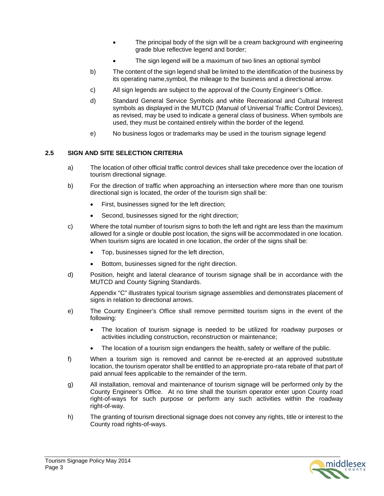- The principal body of the sign will be a cream background with engineering grade blue reflective legend and border;
- The sign legend will be a maximum of two lines an optional symbol
- b) The content of the sign legend shall be limited to the identification of the business by its operating name,symbol, the mileage to the business and a directional arrow.
- c) All sign legends are subject to the approval of the County Engineer's Office.
- d) Standard General Service Symbols and white Recreational and Cultural Interest symbols as displayed in the MUTCD (Manual of Universal Traffic Control Devices), as revised, may be used to indicate a general class of business. When symbols are used, they must be contained entirely within the border of the legend.
- e) No business logos or trademarks may be used in the tourism signage legend

### **2.5 SIGN AND SITE SELECTION CRITERIA**

- a) The location of other official traffic control devices shall take precedence over the location of tourism directional signage.
- b) For the direction of traffic when approaching an intersection where more than one tourism directional sign is located, the order of the tourism sign shall be:
	- First, businesses signed for the left direction;
	- Second, businesses signed for the right direction;
- c) Where the total number of tourism signs to both the left and right are less than the maximum allowed for a single or double post location, the signs will be accommodated in one location. When tourism signs are located in one location, the order of the signs shall be:
	- Top, businesses signed for the left direction,
	- Bottom, businesses signed for the right direction.
- d) Position, height and lateral clearance of tourism signage shall be in accordance with the MUTCD and County Signing Standards.

Appendix "C" illustrates typical tourism signage assemblies and demonstrates placement of signs in relation to directional arrows.

- e) The County Engineer's Office shall remove permitted tourism signs in the event of the following:
	- The location of tourism signage is needed to be utilized for roadway purposes or activities including construction, reconstruction or maintenance;
	- The location of a tourism sign endangers the health, safety or welfare of the public.
- f) When a tourism sign is removed and cannot be re-erected at an approved substitute location, the tourism operator shall be entitled to an appropriate pro-rata rebate of that part of paid annual fees applicable to the remainder of the term.
- g) All installation, removal and maintenance of tourism signage will be performed only by the County Engineer's Office. At no time shall the tourism operator enter upon County road right-of-ways for such purpose or perform any such activities within the roadway right-of-way.
- h) The granting of tourism directional signage does not convey any rights, title or interest to the County road rights-of-ways.

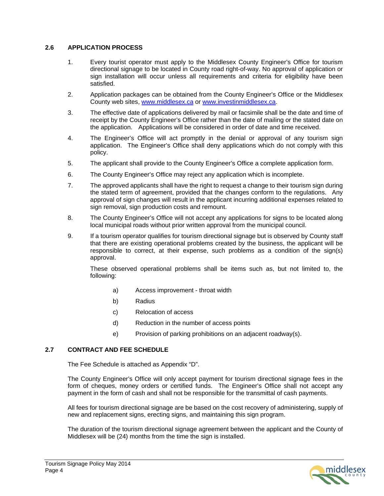#### **2.6 APPLICATION PROCESS**

- 1. Every tourist operator must apply to the Middlesex County Engineer's Office for tourism directional signage to be located in County road right-of-way. No approval of application or sign installation will occur unless all requirements and criteria for eligibility have been satisfied.
- 2. Application packages can be obtained from the County Engineer's Office or the Middlesex County web sites, www.middlesex.ca or www.investinmiddlesex.ca.
- 3. The effective date of applications delivered by mail or facsimile shall be the date and time of receipt by the County Engineer's Office rather than the date of mailing or the stated date on the application.Applications will be considered in order of date and time received.
- 4. The Engineer's Office will act promptly in the denial or approval of any tourism sign application. The Engineer's Office shall deny applications which do not comply with this policy.
- 5. The applicant shall provide to the County Engineer's Office a complete application form.
- 6. The County Engineer's Office may reject any application which is incomplete.
- 7. The approved applicants shall have the right to request a change to their tourism sign during the stated term of agreement, provided that the changes conform to the regulations. Any approval of sign changes will result in the applicant incurring additional expenses related to sign removal, sign production costs and remount.
- 8. The County Engineer's Office will not accept any applications for signs to be located along local municipal roads without prior written approval from the municipal council.
- 9. If a tourism operator qualifies for tourism directional signage but is observed by County staff that there are existing operational problems created by the business, the applicant will be responsible to correct, at their expense, such problems as a condition of the sign(s) approval.

These observed operational problems shall be items such as, but not limited to, the following:

- a) Access improvement throat width
- b) Radius
- c) Relocation of access
- d) Reduction in the number of access points
- e) Provision of parking prohibitions on an adjacent roadway(s).

#### **2.7 CONTRACT AND FEE SCHEDULE**

The Fee Schedule is attached as Appendix "D".

The County Engineer's Office will only accept payment for tourism directional signage fees in the form of cheques, money orders or certified funds. The Engineer's Office shall not accept any payment in the form of cash and shall not be responsible for the transmittal of cash payments.

All fees for tourism directional signage are be based on the cost recovery of administering, supply of new and replacement signs, erecting signs, and maintaining this sign program.

The duration of the tourism directional signage agreement between the applicant and the County of Middlesex will be (24) months from the time the sign is installed.

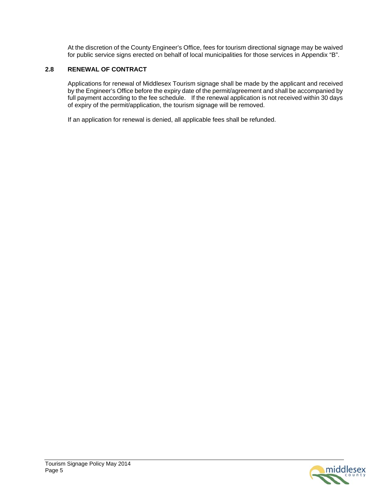At the discretion of the County Engineer's Office, fees for tourism directional signage may be waived for public service signs erected on behalf of local municipalities for those services in Appendix "B".

### **2.8 RENEWAL OF CONTRACT**

Applications for renewal of Middlesex Tourism signage shall be made by the applicant and received by the Engineer's Office before the expiry date of the permit/agreement and shall be accompanied by full payment according to the fee schedule. If the renewal application is not received within 30 days of expiry of the permit/application, the tourism signage will be removed.

If an application for renewal is denied, all applicable fees shall be refunded.

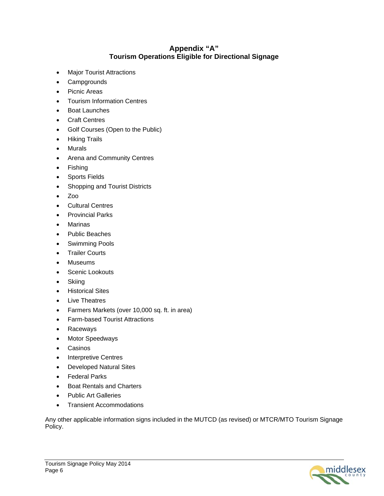## **Appendix "A" Tourism Operations Eligible for Directional Signage**

- Major Tourist Attractions
- Campgrounds
- Picnic Areas
- Tourism Information Centres
- Boat Launches
- Craft Centres
- Golf Courses (Open to the Public)
- Hiking Trails
- Murals
- Arena and Community Centres
- Fishing
- Sports Fields
- Shopping and Tourist Districts
- $\bullet$  Zoo
- Cultural Centres
- Provincial Parks
- Marinas
- Public Beaches
- **•** Swimming Pools
- **•** Trailer Courts
- Museums
- Scenic Lookouts
- Skiing
- **•** Historical Sites
- Live Theatres
- Farmers Markets (over 10,000 sq. ft. in area)
- Farm-based Tourist Attractions
- Raceways
- Motor Speedways
- Casinos
- Interpretive Centres
- Developed Natural Sites
- **•** Federal Parks
- Boat Rentals and Charters
- Public Art Galleries
- Transient Accommodations

Any other applicable information signs included in the MUTCD (as revised) or MTCR/MTO Tourism Signage Policy.

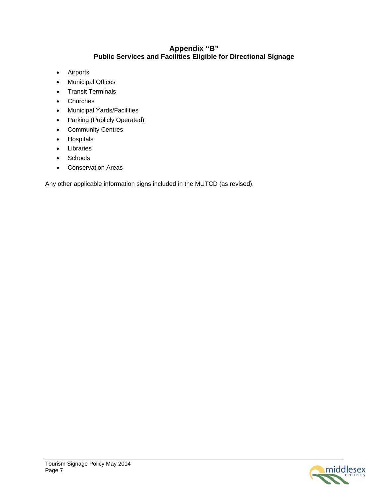### **Appendix "B" Public Services and Facilities Eligible for Directional Signage**

- Airports
- Municipal Offices
- Transit Terminals
- Churches
- Municipal Yards/Facilities
- Parking (Publicly Operated)
- Community Centres
- **•** Hospitals
- Libraries
- Schools
- Conservation Areas

Any other applicable information signs included in the MUTCD (as revised).

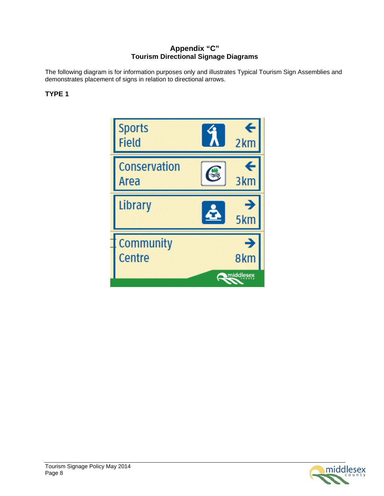## **Appendix "C" Tourism Directional Signage Diagrams**

The following diagram is for information purposes only and illustrates Typical Tourism Sign Assemblies and demonstrates placement of signs in relation to directional arrows.

## **TYPE 1**

**Sports Field**  $2<sub>km</sub>$ Conservation C Area 3<sub>km</sub> Library 5<sub>km</sub> Community Centre 8km middlesex

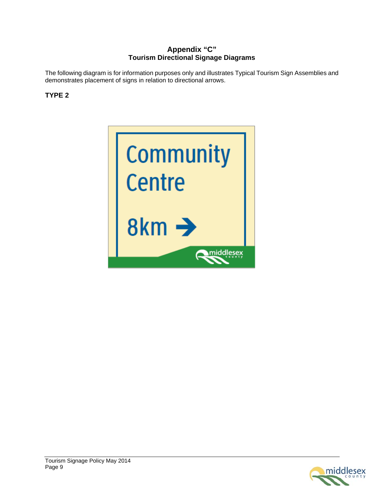## **Appendix "C" Tourism Directional Signage Diagrams**

The following diagram is for information purposes only and illustrates Typical Tourism Sign Assemblies and demonstrates placement of signs in relation to directional arrows.

# **TYPE 2**